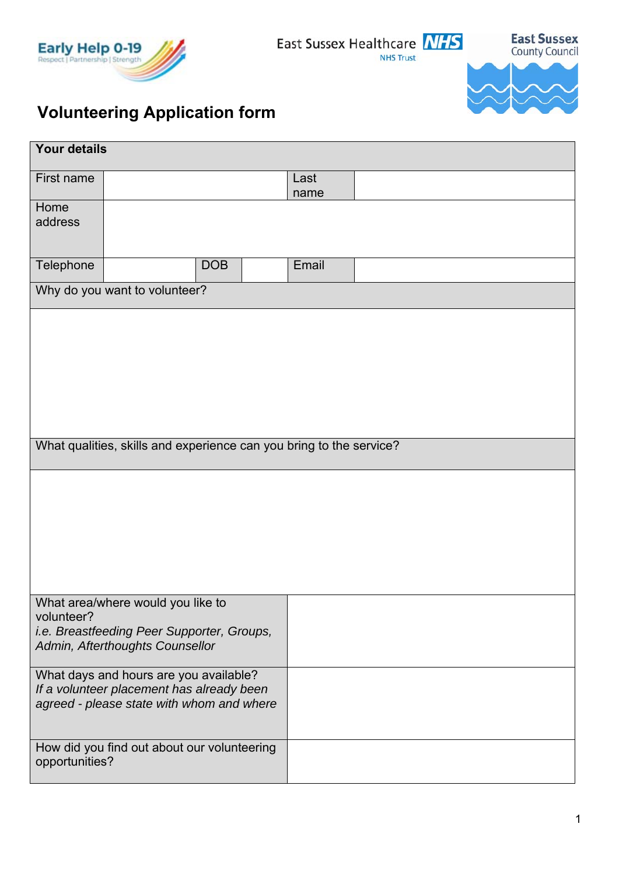

East Sussex Healthcare NHS **NHS Trust** 

**East Sussex**<br>County Council



## **Volunteering Application form**

| <b>Your details</b>                                                 |                                                                                                                                  |            |  |              |  |  |  |
|---------------------------------------------------------------------|----------------------------------------------------------------------------------------------------------------------------------|------------|--|--------------|--|--|--|
| First name                                                          |                                                                                                                                  |            |  | Last<br>name |  |  |  |
| Home<br>address                                                     |                                                                                                                                  |            |  |              |  |  |  |
| Telephone                                                           |                                                                                                                                  | <b>DOB</b> |  | Email        |  |  |  |
| Why do you want to volunteer?                                       |                                                                                                                                  |            |  |              |  |  |  |
| What qualities, skills and experience can you bring to the service? |                                                                                                                                  |            |  |              |  |  |  |
|                                                                     |                                                                                                                                  |            |  |              |  |  |  |
| volunteer?                                                          | What area/where would you like to<br>i.e. Breastfeeding Peer Supporter, Groups,<br>Admin, Afterthoughts Counsellor               |            |  |              |  |  |  |
|                                                                     | What days and hours are you available?<br>If a volunteer placement has already been<br>agreed - please state with whom and where |            |  |              |  |  |  |
| How did you find out about our volunteering<br>opportunities?       |                                                                                                                                  |            |  |              |  |  |  |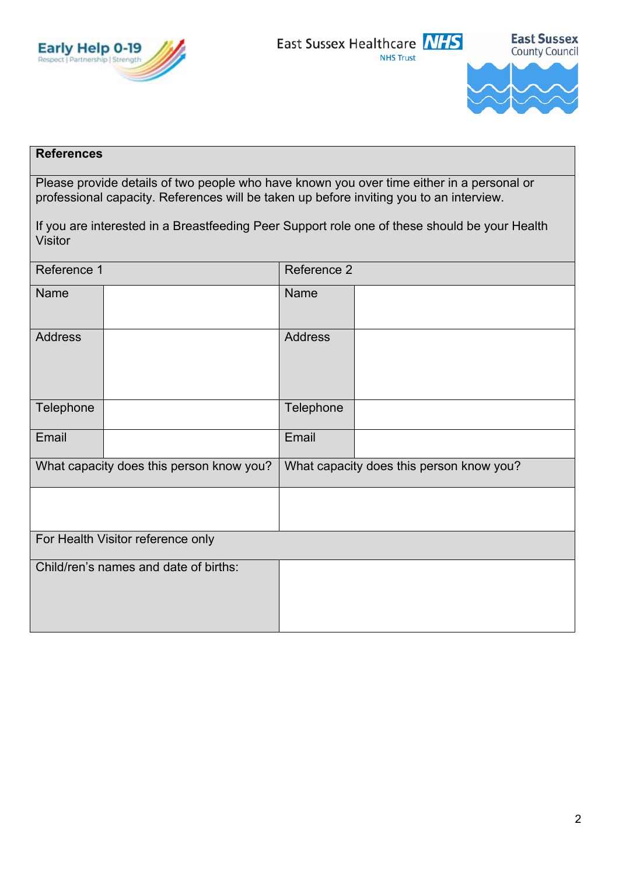



## **References**

Please provide details of two people who have known you over time either in a personal or professional capacity. References will be taken up before inviting you to an interview.

| If you are interested in a Breastfeeding Peer Support role one of these should be your Health |  |
|-----------------------------------------------------------------------------------------------|--|
| <b>Visitor</b>                                                                                |  |

| Reference 1                              |  | Reference 2                              |  |  |  |
|------------------------------------------|--|------------------------------------------|--|--|--|
| Name                                     |  | Name                                     |  |  |  |
| <b>Address</b>                           |  | <b>Address</b>                           |  |  |  |
| Telephone                                |  | Telephone                                |  |  |  |
| Email                                    |  | Email                                    |  |  |  |
| What capacity does this person know you? |  | What capacity does this person know you? |  |  |  |
|                                          |  |                                          |  |  |  |
| For Health Visitor reference only        |  |                                          |  |  |  |
| Child/ren's names and date of births:    |  |                                          |  |  |  |